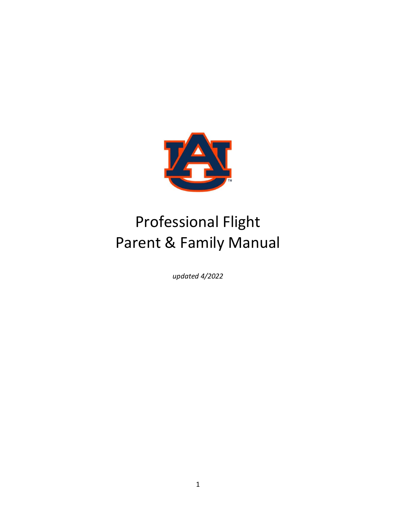

# Professional Flight Parent & Family Manual

*updated 4/2022*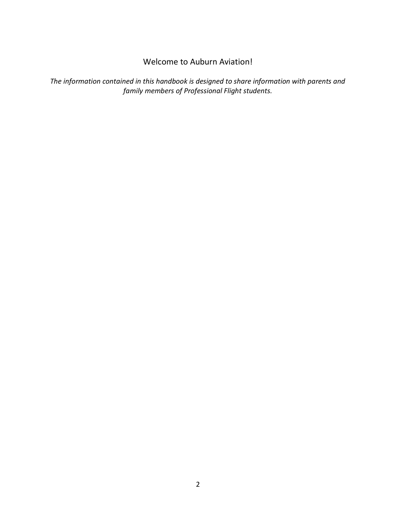### Welcome to Auburn Aviation!

*The information contained in this handbook is designed to share information with parents and family members of Professional Flight students.*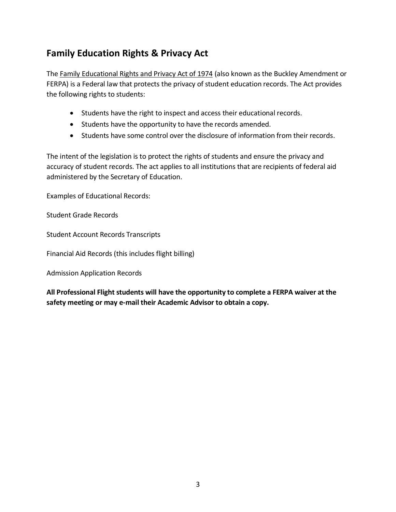# **Family Education Rights & Privacy Act**

Th[e Family Educational Rights and Privacy Act of 1974](https://www2.ed.gov/policy/gen/guid/fpco/ferpa/index.html) (also known as the Buckley Amendment or FERPA) is a Federal law that protects the privacy of student education records. The Act provides the following rights to students:

- Students have the right to inspect and access their educational records.
- Students have the opportunity to have the records amended.
- Students have some control over the disclosure of information from their records.

The intent of the legislation is to protect the rights of students and ensure the privacy and accuracy of student records. The act applies to all institutions that are recipients of federal aid administered by the Secretary of Education.

Examples of Educational Records:

Student Grade Records

Student Account Records Transcripts

Financial Aid Records (this includes flight billing)

Admission Application Records

**All Professional Flight students will have the opportunity to complete a FERPA waiver at the safety meeting or may e-mail their Academic Advisor to obtain a copy.**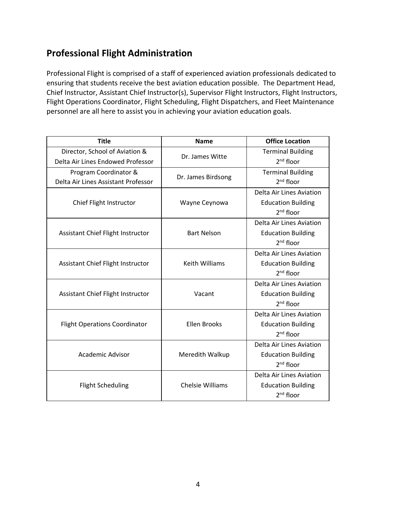# **Professional Flight Administration**

Professional Flight is comprised of a staff of experienced aviation professionals dedicated to ensuring that students receive the best aviation education possible. The Department Head, Chief Instructor, Assistant Chief Instructor(s), Supervisor Flight Instructors, Flight Instructors, Flight Operations Coordinator, Flight Scheduling, Flight Dispatchers, and Fleet Maintenance personnel are all here to assist you in achieving your aviation education goals.

| <b>Title</b>                                                        | <b>Name</b>             | <b>Office Location</b>                                                         |
|---------------------------------------------------------------------|-------------------------|--------------------------------------------------------------------------------|
| Director, School of Aviation &<br>Delta Air Lines Endowed Professor | Dr. James Witte         | <b>Terminal Building</b><br>$2nd$ floor                                        |
| Program Coordinator &<br>Delta Air Lines Assistant Professor        | Dr. James Birdsong      | <b>Terminal Building</b><br>$2nd$ floor                                        |
| Chief Flight Instructor                                             | Wayne Ceynowa           | Delta Air Lines Aviation<br><b>Education Building</b><br>$2nd$ floor           |
| Assistant Chief Flight Instructor                                   | <b>Bart Nelson</b>      | Delta Air Lines Aviation<br><b>Education Building</b><br>$2nd$ floor           |
| Assistant Chief Flight Instructor                                   | <b>Keith Williams</b>   | Delta Air Lines Aviation<br><b>Education Building</b><br>$2nd$ floor           |
| Assistant Chief Flight Instructor                                   | Vacant                  | Delta Air Lines Aviation<br><b>Education Building</b><br>$2nd$ floor           |
| <b>Flight Operations Coordinator</b>                                | <b>Ellen Brooks</b>     | Delta Air Lines Aviation<br><b>Education Building</b><br>$2nd$ floor           |
| Academic Advisor                                                    | Meredith Walkup         | Delta Air Lines Aviation<br><b>Education Building</b><br>$2nd$ floor           |
| <b>Flight Scheduling</b>                                            | <b>Chelsie Williams</b> | Delta Air Lines Aviation<br><b>Education Building</b><br>2 <sup>nd</sup> floor |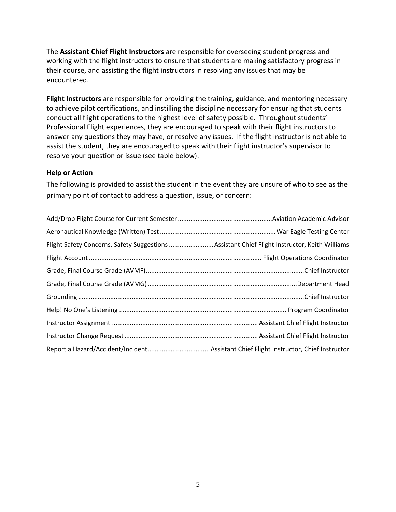The **Assistant Chief Flight Instructors** are responsible for overseeing student progress and working with the flight instructors to ensure that students are making satisfactory progress in their course, and assisting the flight instructors in resolving any issues that may be encountered.

**Flight Instructors** are responsible for providing the training, guidance, and mentoring necessary to achieve pilot certifications, and instilling the discipline necessary for ensuring that students conduct all flight operations to the highest level of safety possible. Throughout students' Professional Flight experiences, they are encouraged to speak with their flight instructors to answer any questions they may have, or resolve any issues. If the flight instructor is not able to assist the student, they are encouraged to speak with their flight instructor's supervisor to resolve your question or issue (see table below).

### **Help or Action**

The following is provided to assist the student in the event they are unsure of who to see as the primary point of contact to address a question, issue, or concern:

| Flight Safety Concerns, Safety Suggestions Assistant Chief Flight Instructor, Keith Williams |  |
|----------------------------------------------------------------------------------------------|--|
|                                                                                              |  |
|                                                                                              |  |
|                                                                                              |  |
|                                                                                              |  |
|                                                                                              |  |
|                                                                                              |  |
|                                                                                              |  |
|                                                                                              |  |
|                                                                                              |  |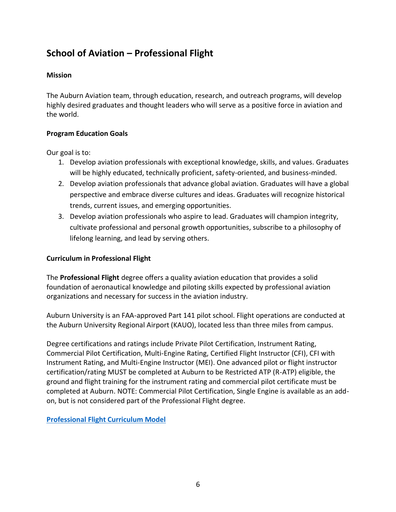# **School of Aviation – Professional Flight**

### **Mission**

The Auburn Aviation team, through education, research, and outreach programs, will develop highly desired graduates and thought leaders who will serve as a positive force in aviation and the world.

### **Program Education Goals**

Our goal is to:

- 1. Develop aviation professionals with exceptional knowledge, skills, and values. Graduates will be highly educated, technically proficient, safety-oriented, and business-minded.
- 2. Develop aviation professionals that advance global aviation. Graduates will have a global perspective and embrace diverse cultures and ideas. Graduates will recognize historical trends, current issues, and emerging opportunities.
- 3. Develop aviation professionals who aspire to lead. Graduates will champion integrity, cultivate professional and personal growth opportunities, subscribe to a philosophy of lifelong learning, and lead by serving others.

### **Curriculum in Professional Flight**

The **Professional Flight** degree offers a quality aviation education that provides a solid foundation of aeronautical knowledge and piloting skills expected by professional aviation organizations and necessary for success in the aviation industry.

Auburn University is an FAA-approved Part 141 pilot school. Flight operations are conducted at the Auburn University Regional Airport (KAUO), located less than three miles from campus.

Degree certifications and ratings include Private Pilot Certification, Instrument Rating, Commercial Pilot Certification, Multi-Engine Rating, Certified Flight Instructor (CFI), CFI with Instrument Rating, and Multi-Engine Instructor (MEI). One advanced pilot or flight instructor certification/rating MUST be completed at Auburn to be Restricted ATP (R-ATP) eligible, the ground and flight training for the instrument rating and commercial pilot certificate must be completed at Auburn. NOTE: Commercial Pilot Certification, Single Engine is available as an addon, but is not considered part of the Professional Flight degree.

**[Professional Flight Curriculum Model](https://bulletin.auburn.edu/undergraduate/collegeofliberalarts/departmentofaviation/professionalflight/)**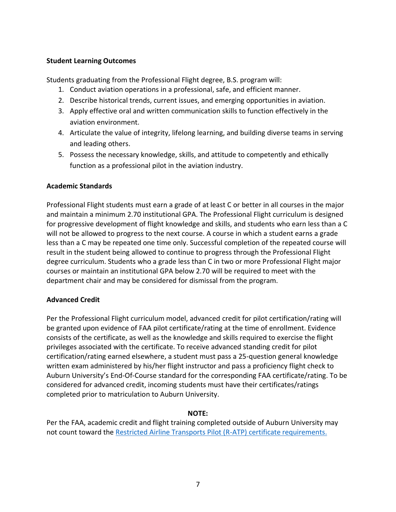### **Student Learning Outcomes**

Students graduating from the Professional Flight degree, B.S. program will:

- 1. Conduct aviation operations in a professional, safe, and efficient manner.
- 2. Describe historical trends, current issues, and emerging opportunities in aviation.
- 3. Apply effective oral and written communication skills to function effectively in the aviation environment.
- 4. Articulate the value of integrity, lifelong learning, and building diverse teams in serving and leading others.
- 5. Possess the necessary knowledge, skills, and attitude to competently and ethically function as a professional pilot in the aviation industry.

### **Academic Standards**

Professional Flight students must earn a grade of at least C or better in all courses in the major and maintain a minimum 2.70 institutional GPA. The Professional Flight curriculum is designed for progressive development of flight knowledge and skills, and students who earn less than a C will not be allowed to progress to the next course. A course in which a student earns a grade less than a C may be repeated one time only. Successful completion of the repeated course will result in the student being allowed to continue to progress through the Professional Flight degree curriculum. Students who a grade less than C in two or more Professional Flight major courses or maintain an institutional GPA below 2.70 will be required to meet with the department chair and may be considered for dismissal from the program.

### **Advanced Credit**

Per the Professional Flight curriculum model, advanced credit for pilot certification/rating will be granted upon evidence of FAA pilot certificate/rating at the time of enrollment. Evidence consists of the certificate, as well as the knowledge and skills required to exercise the flight privileges associated with the certificate. To receive advanced standing credit for pilot certification/rating earned elsewhere, a student must pass a 25-question general knowledge written exam administered by his/her flight instructor and pass a proficiency flight check to Auburn University's End-Of-Course standard for the corresponding FAA certificate/rating. To be considered for advanced credit, incoming students must have their certificates/ratings completed prior to matriculation to Auburn University.

### **NOTE:**

Per the FAA, academic credit and flight training completed outside of Auburn University may not count toward the [Restricted Airline Transports Pilot \(R-ATP\) certificate requirements.](https://cla.auburn.edu/media/urnnx1ie/r-atp-b300-loa-aub-11-22-21.pdf)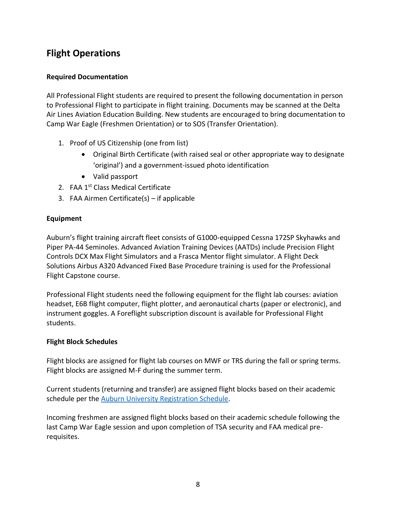# **Flight Operations**

### **Required Documentation**

All Professional Flight students are required to present the following documentation in person to Professional Flight to participate in flight training. Documents may be scanned at the Delta Air Lines Aviation Education Building. New students are encouraged to bring documentation to Camp War Eagle (Freshmen Orientation) or to SOS (Transfer Orientation).

- 1. Proof of US Citizenship (one from list)
	- Original Birth Certificate (with raised seal or other appropriate way to designate 'original') and a government-issued photo identification
	- Valid passport
- 2. FAA 1<sup>st</sup> Class Medical Certificate
- 3. FAA Airmen Certificate(s) if applicable

### **Equipment**

Auburn's flight training aircraft fleet consists of G1000-equipped Cessna 172SP Skyhawks and Piper PA-44 Seminoles. Advanced Aviation Training Devices (AATDs) include Precision Flight Controls DCX Max Flight Simulators and a Frasca Mentor flight simulator. A Flight Deck Solutions Airbus A320 Advanced Fixed Base Procedure training is used for the Professional Flight Capstone course.

Professional Flight students need the following equipment for the flight lab courses: aviation headset, E6B flight computer, flight plotter, and aeronautical charts (paper or electronic), and instrument goggles. A Foreflight subscription discount is available for Professional Flight students.

### **Flight Block Schedules**

Flight blocks are assigned for flight lab courses on MWF or TRS during the fall or spring terms. Flight blocks are assigned M-F during the summer term.

Current students (returning and transfer) are assigned flight blocks based on their academic schedule per the [Auburn University Registration Schedule.](http://auburn.edu/administration/registrar/registration_sched.html)

Incoming freshmen are assigned flight blocks based on their academic schedule following the last Camp War Eagle session and upon completion of TSA security and FAA medical prerequisites.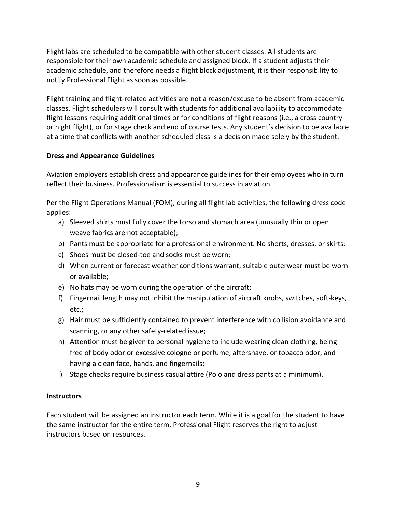Flight labs are scheduled to be compatible with other student classes. All students are responsible for their own academic schedule and assigned block. If a student adjusts their academic schedule, and therefore needs a flight block adjustment, it is their responsibility to notify Professional Flight as soon as possible.

Flight training and flight-related activities are not a reason/excuse to be absent from academic classes. Flight schedulers will consult with students for additional availability to accommodate flight lessons requiring additional times or for conditions of flight reasons (i.e., a cross country or night flight), or for stage check and end of course tests. Any student's decision to be available at a time that conflicts with another scheduled class is a decision made solely by the student.

### **Dress and Appearance Guidelines**

Aviation employers establish dress and appearance guidelines for their employees who in turn reflect their business. Professionalism is essential to success in aviation.

Per the Flight Operations Manual (FOM), during all flight lab activities, the following dress code applies:

- a) Sleeved shirts must fully cover the torso and stomach area (unusually thin or open weave fabrics are not acceptable);
- b) Pants must be appropriate for a professional environment. No shorts, dresses, or skirts;
- c) Shoes must be closed-toe and socks must be worn;
- d) When current or forecast weather conditions warrant, suitable outerwear must be worn or available;
- e) No hats may be worn during the operation of the aircraft;
- f) Fingernail length may not inhibit the manipulation of aircraft knobs, switches, soft-keys, etc.;
- g) Hair must be sufficiently contained to prevent interference with collision avoidance and scanning, or any other safety-related issue;
- h) Attention must be given to personal hygiene to include wearing clean clothing, being free of body odor or excessive cologne or perfume, aftershave, or tobacco odor, and having a clean face, hands, and fingernails;
- i) Stage checks require business casual attire (Polo and dress pants at a minimum).

### **Instructors**

Each student will be assigned an instructor each term. While it is a goal for the student to have the same instructor for the entire term, Professional Flight reserves the right to adjust instructors based on resources.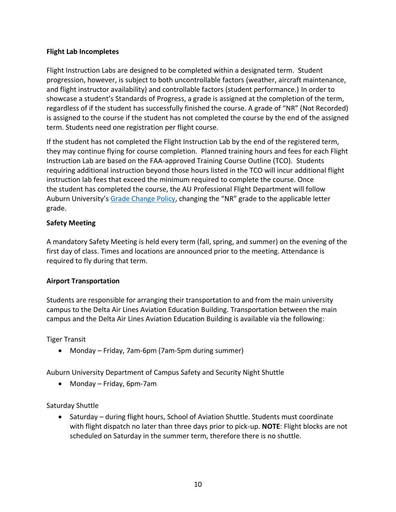### **Flight Lab Incompletes**

Flight Instruction Labs are designed to be completed within a designated term. Student progression, however, is subject to both uncontrollable factors (weather, aircraft maintenance, and flight instructor availability) and controllable factors (student performance.) In order to showcase a student's Standards of Progress, a grade is assigned at the completion of the term, regardless of if the student has successfully finished the course. A grade of "NR" (Not Recorded) is assigned to the course if the student has not completed the course by the end of the assigned term. Students need one registration per flight course.

If the student has not completed the Flight Instruction Lab by the end of the registered term, they may continue flying for course completion. Planned training hours and fees for each Flight Instruction Lab are based on the FAA-approved Training Course Outline (TCO). Students requiring additional instruction beyond those hours listed in the TCO will incur additional flight instruction lab fees that exceed the minimum required to complete the course. Once the student has completed the course, the AU Professional Flight Department will follow Auburn University's [Grade Change Policy](https://bulletin.auburn.edu/Policies/Academic/grades/), changing the "NR" grade to the applicable letter grade.

### **Safety Meeting**

A mandatory Safety Meeting is held every term (fall, spring, and summer) on the evening of the first day of class. Times and locations are announced prior to the meeting. Attendance is required to fly during that term.

### **Airport Transportation**

Students are responsible for arranging their transportation to and from the main university campus to the Delta Air Lines Aviation Education Building. Transportation between the main campus and the Delta Air Lines Aviation Education Building is available via the following:

### Tiger Transit

• Monday – Friday, 7am-6pm (7am-5pm during summer)

Auburn University Department of Campus Safety and Security Night Shuttle

• Monday – Friday, 6pm-7am

Saturday Shuttle

• Saturday – during flight hours, School of Aviation Shuttle. Students must coordinate with flight dispatch no later than three days prior to pick-up. **NOTE**: Flight blocks are not scheduled on Saturday in the summer term, therefore there is no shuttle.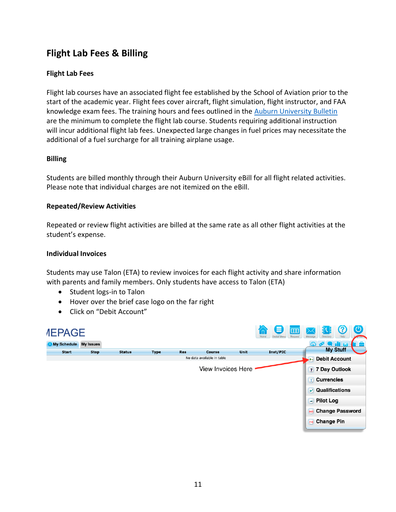# **Flight Lab Fees & Billing**

### **Flight Lab Fees**

Flight lab courses have an associated flight fee established by the School of Aviation prior to the start of the academic year. Flight fees cover aircraft, flight simulation, flight instructor, and FAA knowledge exam fees. The training hours and fees outlined in the [Auburn University Bulletin](https://bulletin.auburn.edu/undergraduate/collegeofliberalarts/departmentofaviation/) are the minimum to complete the flight lab course. Students requiring additional instruction will incur additional flight lab fees. Unexpected large changes in fuel prices may necessitate the additional of a fuel surcharge for all training airplane usage.

### **Billing**

Students are billed monthly through their Auburn University eBill for all flight related activities. Please note that individual charges are not itemized on the eBill.

#### **Repeated/Review Activities**

Repeated or review flight activities are billed at the same rate as all other flight activities at the student's expense.

#### **Individual Invoices**

Students may use Talon (ETA) to review invoices for each flight activity and share information with parents and family members. Only students have access to Talon (ETA)

- Student logs-in to Talon
- Hover over the brief case logo on the far right
- Click on "Debit Account"

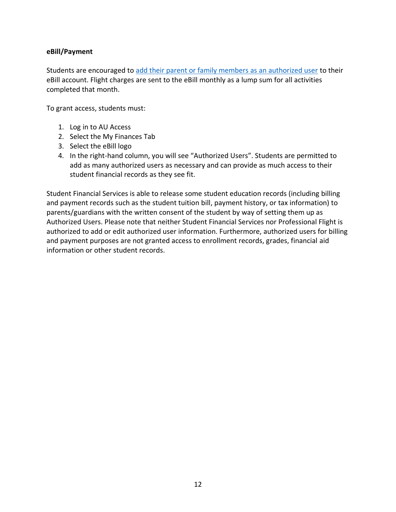### **eBill/Payment**

Students are encouraged to [add their parent or family members as an authorized user](https://familyportal.auburn.edu/posts/2797) to their eBill account. Flight charges are sent to the eBill monthly as a lump sum for all activities completed that month.

To grant access, students must:

- 1. Log in to AU Access
- 2. Select the My Finances Tab
- 3. Select the eBill logo
- 4. In the right-hand column, you will see "Authorized Users". Students are permitted to add as many authorized users as necessary and can provide as much access to their student financial records as they see fit.

Student Financial Services is able to release some student education records (including billing and payment records such as the student tuition bill, payment history, or tax information) to parents/guardians with the written consent of the student by way of setting them up as Authorized Users. Please note that neither Student Financial Services nor Professional Flight is authorized to add or edit authorized user information. Furthermore, authorized users for billing and payment purposes are not granted access to enrollment records, grades, financial aid information or other student records.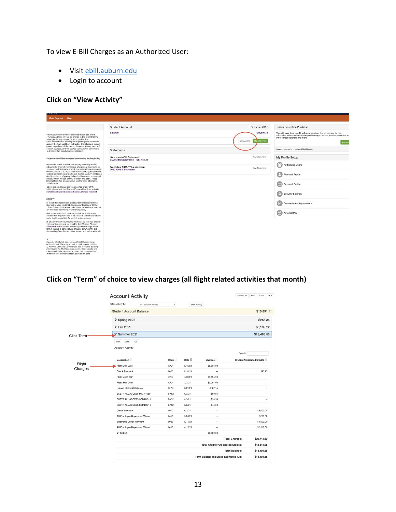To view E-Bill Charges as an Authorized User:

- Visi[t ebill.auburn.edu](https://secure.touchnet.net/C20021_tsa/web/login.jsp)
- Login to account

### **Click on "View Activity"**

| Make Payment Help                                                                                                                                                                                                                                                                                                                                             |                                                                  |                                              |                                                                                                                                                                                                       |
|---------------------------------------------------------------------------------------------------------------------------------------------------------------------------------------------------------------------------------------------------------------------------------------------------------------------------------------------------------------|------------------------------------------------------------------|----------------------------------------------|-------------------------------------------------------------------------------------------------------------------------------------------------------------------------------------------------------|
|                                                                                                                                                                                                                                                                                                                                                               | <b>Student Account</b>                                           | ID: xxxxx7818                                | <b>Tuition Protection Purchase</b>                                                                                                                                                                    |
| ee structure have been established regardless of the<br>Tuition and fees will not be altered in the event that the<br>changed for any course for all or part of the<br>nains committed to offering the highest quality academic<br>aintain the high quality of instruction that students expect<br>grees, regardless of the mode of course delivery. Auburn's | Balance                                                          | \$16,891.11<br>View Activity<br>Ma se Paymer | You still have time to add tuition protection! Get reimbursed for non-<br>refundable tuition and on/off-campus housing expenses, receive protection for<br>other school expenses and more.<br>Add Nov |
| o teach courses, and the course curricula will continue to<br>outcomes that faculty have established.                                                                                                                                                                                                                                                         | <b>Statements</b>                                                |                                              | Contact us today for questions 877-794-6603                                                                                                                                                           |
| d payments will be assessed processing fee beginning                                                                                                                                                                                                                                                                                                          | Your latest eBill Statement<br>(12/15/21) Statement: \$17,481.11 | View Statements                              | My Profile Setup                                                                                                                                                                                      |
| isly used a credit or debit card to pay university e-bills.<br>ild consider alternative methods of payment to avoid a fee<br>to cover the third-party cost of processing those payments.                                                                                                                                                                      | Your latest 1098-T Tax statement<br>2020 1098-T Statement        | Verw Statements                              | <b>Authorized Users</b>                                                                                                                                                                               |
| tive December 1, 2019, is initiated by a third-party payment.<br>n does not receive any portion of the fee. Auburn continues<br>riendly methods of paying tuition for those who choose not<br>it card, which include check, e-check and cash. These<br>Iditional fees. We also continue to offer easy alternative                                             |                                                                  |                                              | Personal Profile                                                                                                                                                                                      |
| installments.<br>about the credit card convenience fee or any of the<br>lable, please visit the Student Financial Services website<br>du/administration/business-finance/sfs/ccc-fee.html                                                                                                                                                                     |                                                                  |                                              | ⊟<br><b>Payment Profile</b>                                                                                                                                                                           |
| <b>OTICE****</b>                                                                                                                                                                                                                                                                                                                                              |                                                                  |                                              | <b>Security Settings</b>                                                                                                                                                                              |
| of aid and completion of all disbursement requirements,<br>sbursed to your student billing account just prior to the<br>. If the financial aid amount disbursed exceeds the amount<br>be refunded according to university policy.                                                                                                                             |                                                                  |                                              | <b>Consents and Agreements</b>                                                                                                                                                                        |
| ebill statement DOES NOT imply that the student has<br>ileted other requirements. If you wish to decline aid shown<br>go to the Financial Aid Award link in AU Access.                                                                                                                                                                                        |                                                                  |                                              | Auto Bill Pay<br>fisil                                                                                                                                                                                |
| all or a portion of your federal financial aid that has already<br>omit a written request via email to the Office of Student<br>7@auburn.edu within fourteen (14) calendar days of the<br>tent. If the aid is canceled, all charges to which the aid<br>ds resulting from the aid disbursement will be immediately                                            |                                                                  |                                              |                                                                                                                                                                                                       |
| 22<br>J policy, all refunds are sent via Direct Deposit to an<br>ry the student. You may submit or update your banking<br>U Access. Click the My Finances tab. Click the Banking<br>ation link in the My Finances column. Click update and<br>s. Any credit balance on an account that is caused by<br>redit card will result in a credit back to the card.   |                                                                  |                                              |                                                                                                                                                                                                       |

### **Click on "Term" of choice to view charges (all flight related activities that month)**

|                   | <b>Account Activity</b><br>Filter activity by | Full account activity        | v           | View Activity |                                           |                       |                             |  |  |
|-------------------|-----------------------------------------------|------------------------------|-------------|---------------|-------------------------------------------|-----------------------|-----------------------------|--|--|
|                   | <b>Student Account Balance</b>                |                              |             |               | \$16,891.11                               |                       |                             |  |  |
|                   |                                               | \$258.34<br>> Spring 2022    |             |               |                                           |                       |                             |  |  |
|                   | > Fall 2021<br>\$3,139.22                     |                              |             |               |                                           |                       |                             |  |  |
| <b>Click Term</b> | Summer 2021<br>$\checkmark$                   |                              |             |               |                                           |                       | \$13,493.55                 |  |  |
|                   | Excel<br>Print<br><b>Account Activity</b>     | PDF                          |             |               |                                           | Search:               |                             |  |  |
|                   | <b>Description</b>                            |                              | Code        | Date IF       | Charges                                   |                       | Credits/Anticipated Credits |  |  |
| Flight            | Flight July 2021                              |                              | AV04        | 9/15/21       | \$5,804.00                                |                       |                             |  |  |
| Charges           | <b>Check Payment</b>                          |                              | 9000        | 8/16/21       | $\sim$                                    |                       | \$93.95                     |  |  |
|                   | Flight June 2021                              |                              | AV04        | 7/30/21       | \$5,155.90                                |                       |                             |  |  |
|                   | Flight May 2021                               |                              | AV04        | 7/7/21        | \$3,067.60                                |                       |                             |  |  |
|                   | Refund of Credit Balance                      |                              | <b>RFNC</b> | 6/21/21       | \$862.15                                  |                       |                             |  |  |
|                   |                                               | BKSTR ALL ACCESS MATH1680    | <b>BK52</b> | 6/3/21        | \$89.95                                   |                       |                             |  |  |
|                   |                                               | BKSTR ALL ACCESS SCMH1011    | <b>BK52</b> | 6/3/21        | \$38.50                                   |                       |                             |  |  |
|                   |                                               | BKSTR ALL ACCESS SCMH1010    | <b>BK52</b> | 6/3/21        | \$45.50                                   |                       |                             |  |  |
|                   | <b>Check Payment</b>                          |                              | 9000        | 6/3/21        | $\sim$                                    |                       | \$5,000.00                  |  |  |
|                   |                                               | AU Employee Dependent Waiver | 6413        | 5/24/21       | $\sim$                                    | \$210.00              |                             |  |  |
|                   | <b>Electronic Check Payment</b>               |                              | 9029        | 5/11/21       | $\sim$                                    |                       | \$5,000.00                  |  |  |
|                   |                                               | AU Employee Dependent Waiver | 6413        | 4/15/21       | in.                                       |                       | \$2,310.00                  |  |  |
|                   | > Tuition                                     |                              |             |               | \$5,680.00                                |                       |                             |  |  |
|                   |                                               |                              |             |               |                                           | <b>Total Charges:</b> | \$20,743.60                 |  |  |
|                   |                                               |                              |             |               | <b>Total Credits/Anticipated Credits:</b> |                       | \$12,613.95                 |  |  |
|                   |                                               |                              |             |               |                                           |                       |                             |  |  |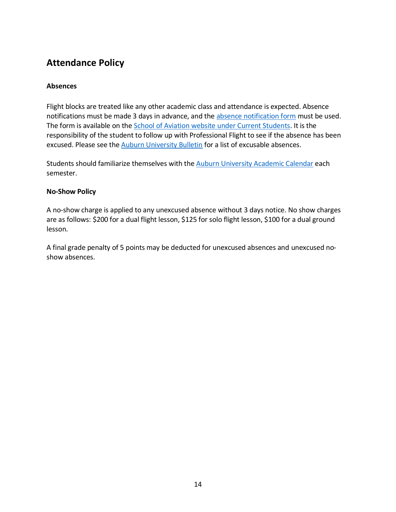# **Attendance Policy**

### **Absences**

Flight blocks are treated like any other academic class and attendance is expected. Absence notifications must be made 3 days in advance, and the [absence notification form](https://auburn.qualtrics.com/jfe/form/SV_dcMd4mWq2cZ9zQV) must be used. The form is available on the [School of Aviation website under Current Students.](https://cla.auburn.edu/aviation) It is the responsibility of the student to follow up with Professional Flight to see if the absence has been excused. Please see th[e Auburn University Bulletin](https://bulletin.auburn.edu/Policies/Academic/classattendance/) for a list of excusable absences.

Students should familiarize themselves with the [Auburn University Academic Calendar](https://auburn.edu/main/auweb_calendar.php) each semester.

### **No-Show Policy**

A no-show charge is applied to any unexcused absence without 3 days notice. No show charges are as follows: \$200 for a dual flight lesson, \$125 for solo flight lesson, \$100 for a dual ground lesson.

A final grade penalty of 5 points may be deducted for unexcused absences and unexcused noshow absences.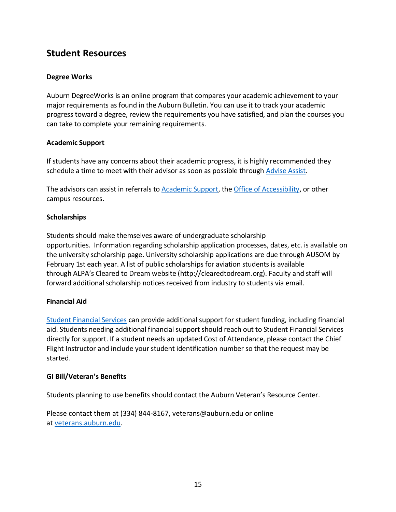## **Student Resources**

### **Degree Works**

Aubur[n DegreeWorks](https://dw.auburn.edu/Dashboard/) is an online program that compares your academic achievement to your major requirements as found in the Auburn Bulletin. You can use it to track your academic progress toward a degree, review the requirements you have satisfied, and plan the courses you can take to complete your remaining requirements.

### **Academic Support**

If students have any concerns about their academic progress, it is highly recommended they schedule a time to meet with their advisor as soon as possible through [Advise Assist.](https://adviseassist.campus.eab.com/)

The advisors can assist in referrals t[o Academic Support,](http://academicsupport.auburn.edu/) th[e Office of Accessibility,](https://accessibility.auburn.edu/Home/CampusAccessibility) or other campus resources.

### **Scholarships**

Students should make themselves aware of undergraduate scholarship opportunities. Information regarding scholarship application processes, dates, etc. is available on the university scholarship page. University scholarship applications are due through AUSOM by February 1st each year. A list of public scholarships for aviation students is available through ALPA's Cleared to Dream website (http://clearedtodream.org). Faculty and staff will forward additional scholarship notices received from industry to students via email.

### **Financial Aid**

[Student Financial Services](https://www.auburn.edu/administration/business-finance/sfs/) can provide additional support for student funding, including financial aid. Students needing additional financial support should reach out to Student Financial Services directly for support. If a student needs an updated Cost of Attendance, please contact the Chief Flight Instructor and include your student identification number so that the request may be started.

### **GI Bill/Veteran's Benefits**

Students planning to use benefits should contact the Auburn Veteran's Resource Center.

Please contact them at (334) 844-8167, veterans@auburn.edu or online at [veterans.auburn.edu.](http://veterans.auburn.edu/)